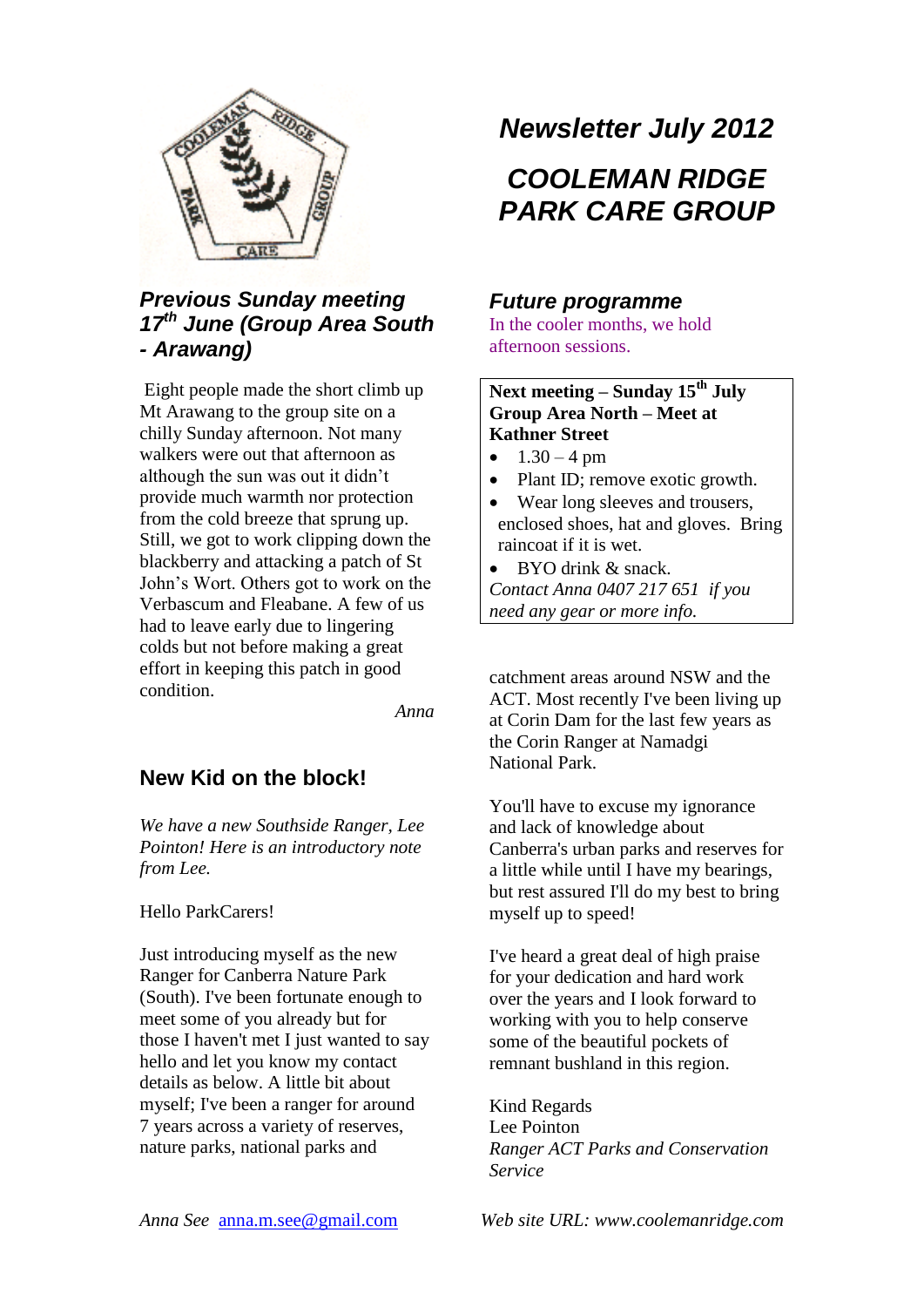

## *Previous Sunday meeting 17th June (Group Area South - Arawang)*

Eight people made the short climb up Mt Arawang to the group site on a chilly Sunday afternoon. Not many walkers were out that afternoon as although the sun was out it didn't provide much warmth nor protection from the cold breeze that sprung up. Still, we got to work clipping down the blackberry and attacking a patch of St John's Wort. Others got to work on the Verbascum and Fleabane. A few of us had to leave early due to lingering colds but not before making a great effort in keeping this patch in good condition.

*Anna*

### **New Kid on the block!**

*We have a new Southside Ranger, Lee Pointon! Here is an introductory note from Lee.*

#### Hello ParkCarers!

Just introducing myself as the new Ranger for Canberra Nature Park (South). I've been fortunate enough to meet some of you already but for those I haven't met I just wanted to say hello and let you know my contact details as below. A little bit about myself; I've been a ranger for around 7 years across a variety of reserves, nature parks, national parks and

# *Newsletter July 2012*

# *COOLEMAN RIDGE PARK CARE GROUP*

#### *Future programme*

In the cooler months, we hold afternoon sessions.

### **Next meeting – Sunday 15th July Group Area North – Meet at Kathner Street**

- $1.30 4 \text{ pm}$
- Plant ID; remove exotic growth.
- Wear long sleeves and trousers, enclosed shoes, hat and gloves. Bring raincoat if it is wet.
- BYO drink & snack. *Contact Anna 0407 217 651 if you need any gear or more info.*

catchment areas around NSW and the ACT. Most recently I've been living up at Corin Dam for the last few years as the Corin Ranger at Namadgi National Park.

You'll have to excuse my ignorance and lack of knowledge about Canberra's urban parks and reserves for a little while until I have my bearings, but rest assured I'll do my best to bring myself up to speed!

I've heard a great deal of high praise for your dedication and hard work over the years and I look forward to working with you to help conserve some of the beautiful pockets of remnant bushland in this region.

Kind Regards Lee Pointon *Ranger ACT Parks and Conservation Service*